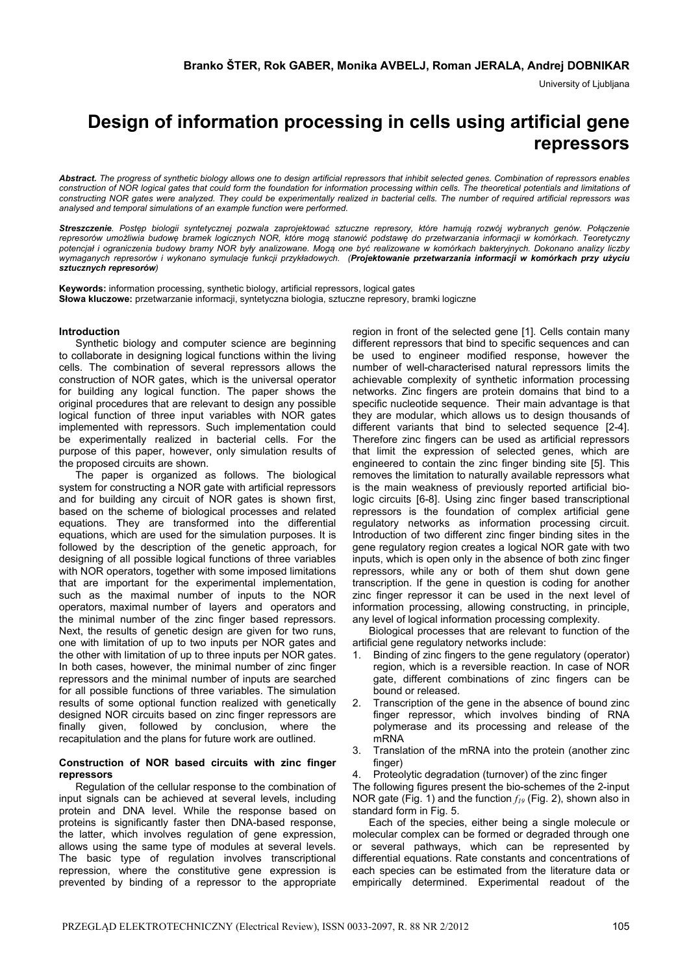University of Ljubljana

# **Design of information processing in cells using artificial gene repressors**

*Abstract. The progress of synthetic biology allows one to design artificial repressors that inhibit selected genes. Combination of repressors enables*  construction of NOR logical gates that could form the foundation for information processing within cells. The theoretical potentials and limitations of *constructing NOR gates were analyzed. They could be experimentally realized in bacterial cells. The number of required artificial repressors was analysed and temporal simulations of an example function were performed.* 

*Streszczenie. Postęp biologii syntetycznej pozwala zaprojektować sztuczne represory, które hamują rozwój wybranych genów. Połączenie represorów umożliwia budowę bramek logicznych NOR, które mogą stanowić podstawę do przetwarzania informacji w komórkach. Teoretyczny potencjał i ograniczenia budowy bramy NOR były analizowane. Mogą one być realizowane w komórkach bakteryjnych. Dokonano analizy liczby wymaganych represorów i wykonano symulacje funkcji przykładowych. (Projektowanie przetwarzania informacji w komórkach przy użyciu sztucznych represorów)* 

**Keywords:** information processing, synthetic biology, artificial repressors, logical gates **Słowa kluczowe:** przetwarzanie informacji, syntetyczna biologia, sztuczne represory, bramki logiczne

# **Introduction**

Synthetic biology and computer science are beginning to collaborate in designing logical functions within the living cells. The combination of several repressors allows the construction of NOR gates, which is the universal operator for building any logical function. The paper shows the original procedures that are relevant to design any possible logical function of three input variables with NOR gates implemented with repressors. Such implementation could be experimentally realized in bacterial cells. For the purpose of this paper, however, only simulation results of the proposed circuits are shown.

The paper is organized as follows. The biological system for constructing a NOR gate with artificial repressors and for building any circuit of NOR gates is shown first, based on the scheme of biological processes and related equations. They are transformed into the differential equations, which are used for the simulation purposes. It is followed by the description of the genetic approach, for designing of all possible logical functions of three variables with NOR operators, together with some imposed limitations that are important for the experimental implementation, such as the maximal number of inputs to the NOR operators, maximal number of layers and operators and the minimal number of the zinc finger based repressors. Next, the results of genetic design are given for two runs, one with limitation of up to two inputs per NOR gates and the other with limitation of up to three inputs per NOR gates. In both cases, however, the minimal number of zinc finger repressors and the minimal number of inputs are searched for all possible functions of three variables. The simulation results of some optional function realized with genetically designed NOR circuits based on zinc finger repressors are finally given, followed by conclusion, where the recapitulation and the plans for future work are outlined.

# **Construction of NOR based circuits with zinc finger repressors**

Regulation of the cellular response to the combination of input signals can be achieved at several levels, including protein and DNA level. While the response based on proteins is significantly faster then DNA-based response, the latter, which involves regulation of gene expression, allows using the same type of modules at several levels. The basic type of regulation involves transcriptional repression, where the constitutive gene expression is prevented by binding of a repressor to the appropriate

region in front of the selected gene [1]. Cells contain many different repressors that bind to specific sequences and can be used to engineer modified response, however the number of well-characterised natural repressors limits the achievable complexity of synthetic information processing networks. Zinc fingers are protein domains that bind to a specific nucleotide sequence. Their main advantage is that they are modular, which allows us to design thousands of different variants that bind to selected sequence [2-4]. Therefore zinc fingers can be used as artificial repressors that limit the expression of selected genes, which are engineered to contain the zinc finger binding site [5]. This removes the limitation to naturally available repressors what is the main weakness of previously reported artificial biologic circuits [6-8]. Using zinc finger based transcriptional repressors is the foundation of complex artificial gene regulatory networks as information processing circuit. Introduction of two different zinc finger binding sites in the gene regulatory region creates a logical NOR gate with two inputs, which is open only in the absence of both zinc finger repressors, while any or both of them shut down gene transcription. If the gene in question is coding for another zinc finger repressor it can be used in the next level of information processing, allowing constructing, in principle, any level of logical information processing complexity.

Biological processes that are relevant to function of the artificial gene regulatory networks include:

- 1. Binding of zinc fingers to the gene regulatory (operator) region, which is a reversible reaction. In case of NOR gate, different combinations of zinc fingers can be bound or released.
- 2. Transcription of the gene in the absence of bound zinc finger repressor, which involves binding of RNA polymerase and its processing and release of the mRNA
- 3. Translation of the mRNA into the protein (another zinc finger)
- 4. Proteolytic degradation (turnover) of the zinc finger

The following figures present the bio-schemes of the 2-input NOR gate (Fig. 1) and the function  $f_{19}$  (Fig. 2), shown also in standard form in Fig. 5.

Each of the species, either being a single molecule or molecular complex can be formed or degraded through one or several pathways, which can be represented by differential equations. Rate constants and concentrations of each species can be estimated from the literature data or empirically determined. Experimental readout of the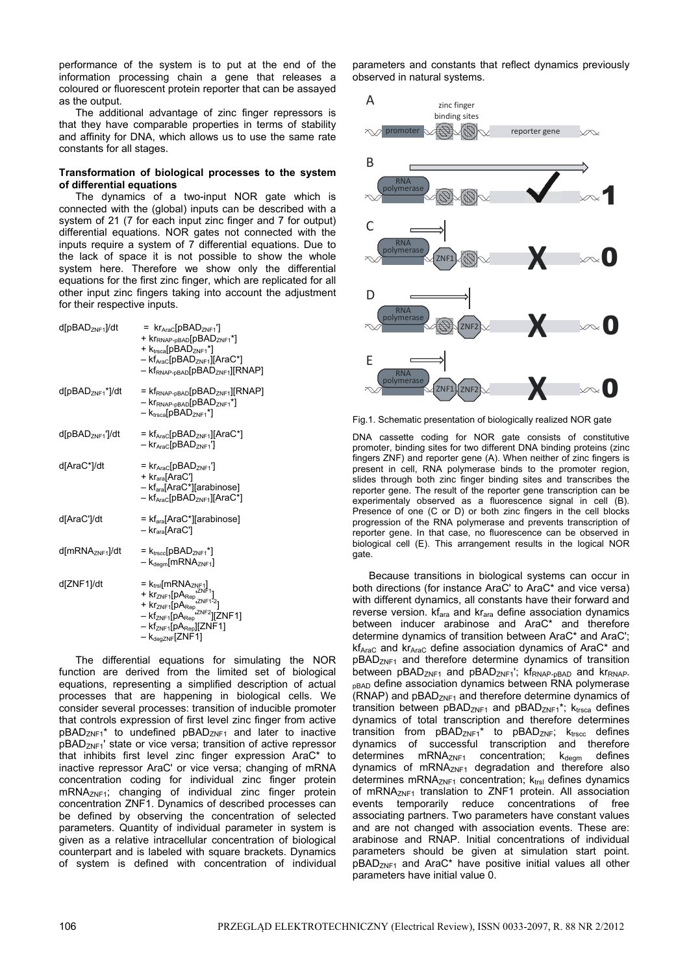performance of the system is to put at the end of the information processing chain a gene that releases a coloured or fluorescent protein reporter that can be assayed as the output.

The additional advantage of zinc finger repressors is that they have comparable properties in terms of stability and affinity for DNA, which allows us to use the same rate constants for all stages.

# **Transformation of biological processes to the system of differential equations**

The dynamics of a two-input NOR gate which is connected with the (global) inputs can be described with a system of 21 (7 for each input zinc finger and 7 for output) differential equations. NOR gates not connected with the inputs require a system of 7 differential equations. Due to the lack of space it is not possible to show the whole system here. Therefore we show only the differential equations for the first zinc finger, which are replicated for all other input zinc fingers taking into account the adjustment for their respective inputs.

| d[pBAD <sub>ZNF1</sub> ]/dt  | = $kr_{\text{AraC}}[pBAD_{ZNF1}]$<br>+ kr <sub>RNAP-pBAD</sub> [pBAD <sub>ZNF1</sub> *]<br>+ Ktrsca[pBAD <sub>ZNF1</sub> *]<br>- kf <sub>AraC</sub> [pBAD <sub>ZNF1</sub> ][AraC*]<br>- kf <sub>RNAP-pBAD</sub> [pBAD <sub>ZNF1</sub> ][RNAP]                                                                                            |
|------------------------------|------------------------------------------------------------------------------------------------------------------------------------------------------------------------------------------------------------------------------------------------------------------------------------------------------------------------------------------|
| d[pBAD <sub>ZNF1</sub> *]/dt | $=$ $kfRNAP-pBAD[pBADZNF1][RNAP]$<br>$ krRNAP-pBAD[pBADZNF1*]$<br>$-k_{\text{trscal}}[pBAD_{ZNF1}^*]$                                                                                                                                                                                                                                    |
| d[pBAD <sub>ZNF1</sub> ']/dt | = kf <sub>AraC</sub> [pBAD <sub>ZNF1</sub> ][AraC*]<br>$- k r_{AraC}$ [pBAD <sub>ZNF1</sub> ']                                                                                                                                                                                                                                           |
| d[AraC*]/dt                  | $=$ kr <sub>AraC</sub> [pBAD <sub>ZNF1</sub> ']<br>+ kr <sub>ara</sub> [AraC']<br>- kf <sub>ara</sub> [AraC*][arabinose]<br>- kf <sub>AraC</sub> [pBAD <sub>ZNF1</sub> ][AraC*]                                                                                                                                                          |
| d[AraC']/dt                  | = kf <sub>ara</sub> [AraC*][arabinose]<br>- kr <sub>ara</sub> [AraC']                                                                                                                                                                                                                                                                    |
| d[mRNA <sub>ZNF1</sub> ]/dt  | $= k_{\text{trsec}}[pBAD_{ZNF1}^*]$<br>$-k_{\text{degm}}[\text{mRNA}_{\text{ZNF1}}]$                                                                                                                                                                                                                                                     |
| d[ZNF1]/dt                   | = $k_{\text{trs}}$ [mRNA <sub>ZNF1</sub> ]<br>+ $k_{\text{T2NF1}}$ [pA <sub>Rep</sub> $2^{N_{\text{F1}}-1}$ ]<br>+ $k_{\text{T2NF1}}$ [pA <sub>Rep</sub> $2^{N_{\text{F1}}-2}$ ]<br>- $k_{\text{T2NF1}}$ [pA <sub>Rep</sub> $k_{\text{F2NF2}}$ ][ZNF1]<br>– kf <sub>ZNF1</sub> [pA <sub>Rep</sub> ][ZNF1]<br>$-k_{\text{degZNF}}$ [ZNF1] |

The differential equations for simulating the NOR function are derived from the limited set of biological equations, representing a simplified description of actual processes that are happening in biological cells. We consider several processes: transition of inducible promoter that controls expression of first level zinc finger from active pBAD<sub>ZNF1</sub>\* to undefined pBAD<sub>ZNF1</sub> and later to inactive pBADZNF1' state or vice versa; transition of active repressor that inhibits first level zinc finger expression AraC\* to inactive repressor AraC' or vice versa; changing of mRNA concentration coding for individual zinc finger protein mRNA<sub>ZNF1</sub>; changing of individual zinc finger protein concentration ZNF1. Dynamics of described processes can be defined by observing the concentration of selected parameters. Quantity of individual parameter in system is given as a relative intracellular concentration of biological counterpart and is labeled with square brackets. Dynamics of system is defined with concentration of individual

parameters and constants that reflect dynamics previously observed in natural systems.



Fig.1. Schematic presentation of biologically realized NOR gate

DNA cassette coding for NOR gate consists of constitutive promoter, binding sites for two different DNA binding proteins (zinc fingers ZNF) and reporter gene (A). When neither of zinc fingers is present in cell, RNA polymerase binds to the promoter region, slides through both zinc finger binding sites and transcribes the reporter gene. The result of the reporter gene transcription can be experimentaly observed as a fluorescence signal in cell (B). Presence of one (C or D) or both zinc fingers in the cell blocks progression of the RNA polymerase and prevents transcription of reporter gene. In that case, no fluorescence can be observed in biological cell (E). This arrangement results in the logical NOR gate.

Because transitions in biological systems can occur in both directions (for instance AraC' to AraC\* and vice versa) with different dynamics, all constants have their forward and reverse version. kf<sub>ara</sub> and kr<sub>ara</sub> define association dynamics between inducer arabinose and AraC\* and therefore determine dynamics of transition between AraC\* and AraC'; kf<sub>AraC</sub> and kr<sub>AraC</sub> define association dynamics of AraC<sup>\*</sup> and pBAD<sub>ZNF1</sub> and therefore determine dynamics of transition between  $pBAD_{ZNF1}$  and  $pBAD_{ZNF1}$ ; kf $F_{RNAP-}$  and kr $F_{RNAP-}$ **pBAD** define association dynamics between RNA polymerase (RNAP) and pBAD<sub>ZNF1</sub> and therefore determine dynamics of transition between  $pBAD<sub>ZNF1</sub>$  and  $pBAD<sub>ZNF1</sub>$ <sup>\*</sup>;  $k<sub>trsca</sub>$  defines dynamics of total transcription and therefore determines transition from  $pBAD<sub>ZNF1</sub><sup>*</sup>$  to  $pBAD<sub>ZNF</sub>; k<sub>trsec</sub>$  defines dynamics of successful transcription and therefore determines  $mRNA<sub>ZNF1</sub>$  concentration;  $k<sub>deam</sub>$  defines dynamics of mRNA<sub>ZNF1</sub> degradation and therefore also determines mRNA $_{ZNF1}$  concentration;  $k_{trsl}$  defines dynamics of mRNA<sub>ZNF1</sub> translation to ZNF1 protein. All association events temporarily reduce concentrations of free associating partners. Two parameters have constant values and are not changed with association events. These are: arabinose and RNAP. Initial concentrations of individual parameters should be given at simulation start point.  $pBAD<sub>ZNF1</sub>$  and AraC\* have positive initial values all other parameters have initial value 0.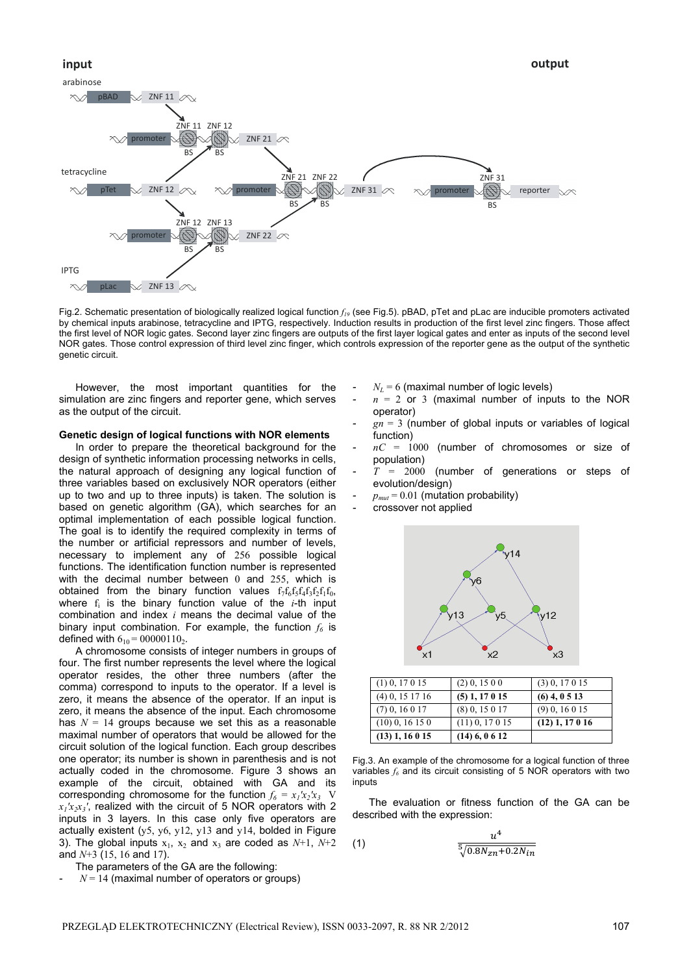

Fig.2. Schematic presentation of biologically realized logical function *f19* (see Fig.5). pBAD, pTet and pLac are inducible promoters activated by chemical inputs arabinose, tetracycline and IPTG, respectively. Induction results in production of the first level zinc fingers. Those affect the first level of NOR logic gates. Second layer zinc fingers are outputs of the first layer logical gates and enter as inputs of the second level NOR gates. Those control expression of third level zinc finger, which controls expression of the reporter gene as the output of the synthetic genetic circuit.

However, the most important quantities for the simulation are zinc fingers and reporter gene, which serves as the output of the circuit.

#### **Genetic design of logical functions with NOR elements**

In order to prepare the theoretical background for the design of synthetic information processing networks in cells, the natural approach of designing any logical function of three variables based on exclusively NOR operators (either up to two and up to three inputs) is taken. The solution is based on genetic algorithm (GA), which searches for an optimal implementation of each possible logical function. The goal is to identify the required complexity in terms of the number or artificial repressors and number of levels, necessary to implement any of 256 possible logical functions. The identification function number is represented with the decimal number between 0 and 255, which is obtained from the binary function values  $f_7f_6f_5f_4f_3f_2f_1f_0$ , where  $f_i$  is the binary function value of the  $i$ -th input combination and index *i* means the decimal value of the binary input combination. For example, the function  $f_6$  is defined with  $6_{10} = 00000110_2$ .

A chromosome consists of integer numbers in groups of four. The first number represents the level where the logical operator resides, the other three numbers (after the comma) correspond to inputs to the operator. If a level is zero, it means the absence of the operator. If an input is zero, it means the absence of the input. Each chromosome has  $N = 14$  groups because we set this as a reasonable maximal number of operators that would be allowed for the circuit solution of the logical function. Each group describes one operator; its number is shown in parenthesis and is not actually coded in the chromosome. Figure 3 shows an example of the circuit, obtained with GA and its corresponding chromosome for the function  $f_6 = x_1/x_2/x_3$  V  $x_1/x_1/x_2$ <sup>7</sup>, realized with the circuit of 5 NOR operators with 2 inputs in 3 layers. In this case only five operators are actually existent (y5, y6, y12, y13 and y14, bolded in Figure 3). The global inputs  $x_1$ ,  $x_2$  and  $x_3$  are coded as  $N+1$ ,  $N+2$ and *N*+3 (15, 16 and 17).

 $N = 14$  (maximal number of operators or groups)

- $N_L$  = 6 (maximal number of logic levels)
- $n = 2$  or 3 (maximal number of inputs to the NOR operator)
- $gn = 3$  (number of global inputs or variables of logical function)
- $nC = 1000$  (number of chromosomes or size of population)
- $T = 2000$  (number of generations or steps of evolution/design)
- $p_{mut} = 0.01$  (mutation probability)
- crossover not applied



| $(1)$ 0, 17 0 15  | $(2)$ 0, 15 0 0   | $(3)$ 0, 17 0 15  |
|-------------------|-------------------|-------------------|
| $(4)$ 0, 15 17 16 | $(5)$ 1, 17 0 15  | $(6)$ 4, 0 5 13   |
| $(7)$ 0, 16 0 17  | $(8)$ 0, 15 0 17  | $(9)$ 0, 16 0 15  |
| $(10)$ 0, 16 15 0 | $(11)$ 0, 17 0 15 | $(12)$ 1, 17 0 16 |
| $(13)$ 1, 16 0 15 | $(14)$ 6, 0 6 12  |                   |

Fig.3. An example of the chromosome for a logical function of three variables  $f_6$  and its circuit consisting of 5 NOR operators with two inputs

The evaluation or fitness function of the GA can be described with the expression:

(1) 
$$
\frac{u^4}{\sqrt[5]{0.8N_{zn} + 0.2N_{in}}}
$$

The parameters of the GA are the following: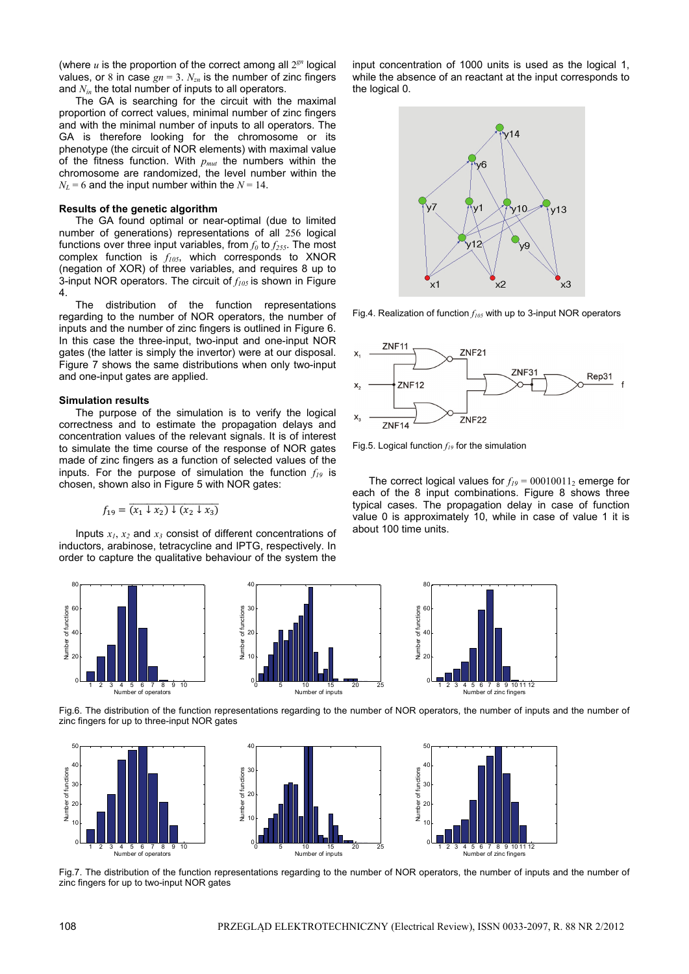(where  $u$  is the proportion of the correct among all  $2^{gn}$  logical values, or 8 in case  $gn = 3$ .  $N_{zn}$  is the number of zinc fingers and *N<sub>in</sub>* the total number of inputs to all operators.

The GA is searching for the circuit with the maximal proportion of correct values, minimal number of zinc fingers and with the minimal number of inputs to all operators. The GA is therefore looking for the chromosome or its phenotype (the circuit of NOR elements) with maximal value of the fitness function. With *pmut* the numbers within the chromosome are randomized, the level number within the  $N_L$  = 6 and the input number within the  $N = 14$ .

#### **Results of the genetic algorithm**

The GA found optimal or near-optimal (due to limited number of generations) representations of all 256 logical functions over three input variables, from  $f_0$  to  $f_{255}$ . The most complex function is  $f_{105}$ , which corresponds to XNOR (negation of XOR) of three variables, and requires 8 up to 3-input NOR operators. The circuit of  $f_{105}$  is shown in Figure 4.

The distribution of the function representations regarding to the number of NOR operators, the number of inputs and the number of zinc fingers is outlined in Figure 6. In this case the three-input, two-input and one-input NOR gates (the latter is simply the invertor) were at our disposal. Figure 7 shows the same distributions when only two-input and one-input gates are applied.

# **Simulation results**

The purpose of the simulation is to verify the logical correctness and to estimate the propagation delays and concentration values of the relevant signals. It is of interest to simulate the time course of the response of NOR gates made of zinc fingers as a function of selected values of the inputs. For the purpose of simulation the function  $f_{19}$  is chosen, shown also in Figure 5 with NOR gates:

$$
f_{19} = \overline{(x_1 \downarrow x_2) \downarrow (x_2 \downarrow x_3)}
$$

Inputs  $x_1, x_2$  and  $x_3$  consist of different concentrations of inductors, arabinose, tetracycline and IPTG, respectively. In order to capture the qualitative behaviour of the system the

input concentration of 1000 units is used as the logical 1, while the absence of an reactant at the input corresponds to the logical 0.



Fig.4. Realization of function  $f_{105}$  with up to 3-input NOR operators



Fig.5. Logical function  $f_{19}$  for the simulation

The correct logical values for  $f_{19} = 00010011_2$  emerge for each of the 8 input combinations. Figure 8 shows three typical cases. The propagation delay in case of function value 0 is approximately 10, while in case of value 1 it is about 100 time units.



 Fig.6. The distribution of the function representations regarding to the number of NOR operators, the number of inputs and the number of zinc fingers for up to three-input NOR gates



 Fig.7. The distribution of the function representations regarding to the number of NOR operators, the number of inputs and the number of zinc fingers for up to two-input NOR gates